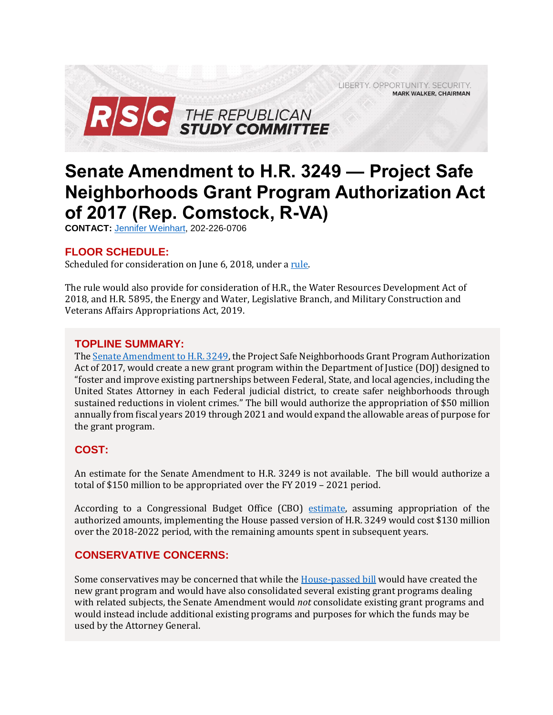LIBERTY. OPPORTUNITY. SECURITY. **MARK WALKER, CHAIRMAN** 



# **Senate Amendment to H.R. 3249 — Project Safe Neighborhoods Grant Program Authorization Act of 2017 (Rep. Comstock, R-VA)**

**CONTACT:** [Jennifer Weinhart,](mailto:jennifer.weinhart@mail.house.gov) 202-226-0706

### **FLOOR SCHEDULE:**

Scheduled for consideration on June 6, 2018, under a [rule.](https://rules.house.gov/bill/115/hr-3249-sa)

The rule would also provide for consideration of H.R., the Water Resources Development Act of 2018, and H.R. 5895, the Energy and Water, Legislative Branch, and Military Construction and Veterans Affairs Appropriations Act, 2019.

### **TOPLINE SUMMARY:**

Th[e Senate Amendment to H.R. 3249,](https://www.gpo.gov/fdsys/pkg/BILLS-115hr3249eas/pdf/BILLS-115hr3249eas.pdf) the Project Safe Neighborhoods Grant Program Authorization Act of 2017, would create a new grant program within the Department of Justice (DOJ) designed to "foster and improve existing partnerships between Federal, State, and local agencies, including the United States Attorney in each Federal judicial district, to create safer neighborhoods through sustained reductions in violent crimes." The bill would authorize the appropriation of \$50 million annually from fiscal years 2019 through 2021 and would expand the allowable areas of purpose for the grant program.

# **COST:**

An estimate for the Senate Amendment to H.R. 3249 is not available. The bill would authorize a total of \$150 million to be appropriated over the FY 2019 – 2021 period.

According to a Congressional Budget Office (CBO) [estimate,](https://www.cbo.gov/publication/53340) assuming appropriation of the authorized amounts, implementing the House passed version of H.R. 3249 would cost \$130 million over the 2018-2022 period, with the remaining amounts spent in subsequent years.

### **CONSERVATIVE CONCERNS:**

Some conservatives may be concerned that while th[e House-passed bill](https://gallery.mailchimp.com/d4254037a343b683d142111e0/files/4ad2eb0c-2ebe-46ac-9ace-72aceb080d1b/3_14_18_suspensions.pdf#page=9) would have created the new grant program and would have also consolidated several existing grant programs dealing with related subjects, the Senate Amendment would *not* consolidate existing grant programs and would instead include additional existing programs and purposes for which the funds may be used by the Attorney General.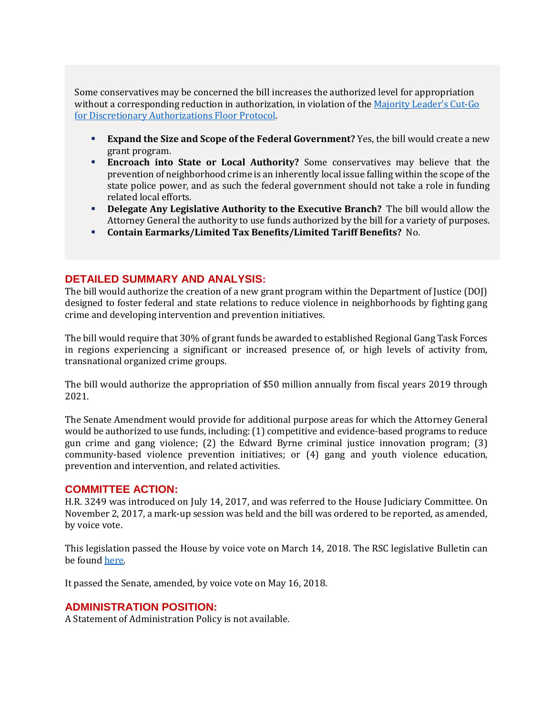Some conservatives may be concerned the bill increases the authorized level for appropriation without a corresponding reduction in authorization, in violation of the [Majority Leader's Cut](https://www.majorityleader.gov/protocols/)-Go [for Discretionary Authorizations Floor Protocol.](https://www.majorityleader.gov/protocols/) 

- **Expand the Size and Scope of the Federal Government?** Yes, the bill would create a new grant program.
- **Encroach into State or Local Authority?** Some conservatives may believe that the prevention of neighborhood crime is an inherently local issue falling within the scope of the state police power, and as such the federal government should not take a role in funding related local efforts.
- **Delegate Any Legislative Authority to the Executive Branch?** The bill would allow the Attorney General the authority to use funds authorized by the bill for a variety of purposes.
- **Contain Earmarks/Limited Tax Benefits/Limited Tariff Benefits?** No.

## **DETAILED SUMMARY AND ANALYSIS:**

The bill would authorize the creation of a new grant program within the Department of Justice (DOJ) designed to foster federal and state relations to reduce violence in neighborhoods by fighting gang crime and developing intervention and prevention initiatives.

The bill would require that 30% of grant funds be awarded to established Regional Gang Task Forces in regions experiencing a significant or increased presence of, or high levels of activity from, transnational organized crime groups.

The bill would authorize the appropriation of \$50 million annually from fiscal years 2019 through 2021.

The Senate Amendment would provide for additional purpose areas for which the Attorney General would be authorized to use funds, including: (1) competitive and evidence-based programs to reduce gun crime and gang violence; (2) the Edward Byrne criminal justice innovation program; (3) community-based violence prevention initiatives; or (4) gang and youth violence education, prevention and intervention, and related activities.

#### **COMMITTEE ACTION:**

H.R. 3249 was introduced on July 14, 2017, and was referred to the House Judiciary Committee. On November 2, 2017, a mark-up session was held and the bill was ordered to be reported, as amended, by voice vote.

This legislation passed the House by voice vote on March 14, 2018. The RSC legislative Bulletin can be foun[d here.](https://gallery.mailchimp.com/d4254037a343b683d142111e0/files/4ad2eb0c-2ebe-46ac-9ace-72aceb080d1b/3_14_18_suspensions.pdf#page=9)

It passed the Senate, amended, by voice vote on May 16, 2018.

#### **ADMINISTRATION POSITION:**

A Statement of Administration Policy is not available.